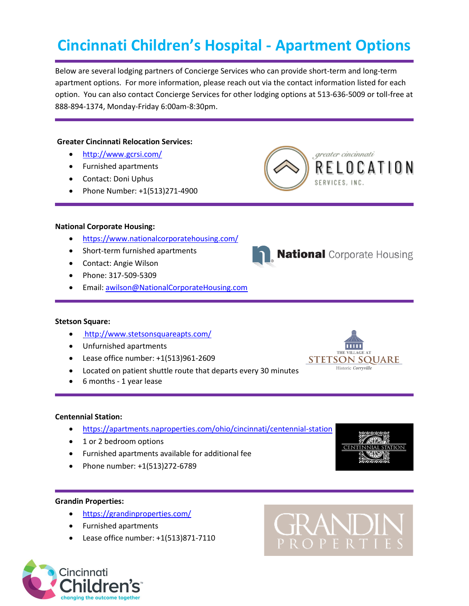# **Cincinnati Children's Hospital - Apartment Options**

Below are several lodging partners of Concierge Services who can provide short-term and long-term apartment options. For more information, please reach out via the contact information listed for each option. You can also contact Concierge Services for other lodging options at 513-636-5009 or toll-free at 888-894-1374, Monday-Friday 6:00am-8:30pm.

# **Greater Cincinnati Relocation Services:**

- <http://www.gcrsi.com/>
- Furnished apartments
- Contact: Doni Uphus
- Phone Number: +1(513)271-4900



**National Corporate Housing** 

#### **National Corporate Housing:**

- <https://www.nationalcorporatehousing.com/>
- Short-term furnished apartments
- Contact: Angie Wilson
- Phone: 317-509-5309
- Email: [awilson@NationalCorporateHousing.com](mailto:awilson@NationalCorporateHousing.com)

# **Stetson Square:**

- <http://www.stetsonsquareapts.com/>
- Unfurnished apartments
- Lease office number: +1(513)961-2609
- Located on patient shuttle route that departs every 30 minutes
- 6 months 1 year lease

# **Centennial Station:**

- <https://apartments.naproperties.com/ohio/cincinnati/centennial-station>
- 1 or 2 bedroom options
- Furnished apartments available for additional fee
- Phone number: +1(513)272-6789

# **Grandin Properties:**

- <https://grandinproperties.com/>
- Furnished apartments
- Lease office number: +1(513)871-7110